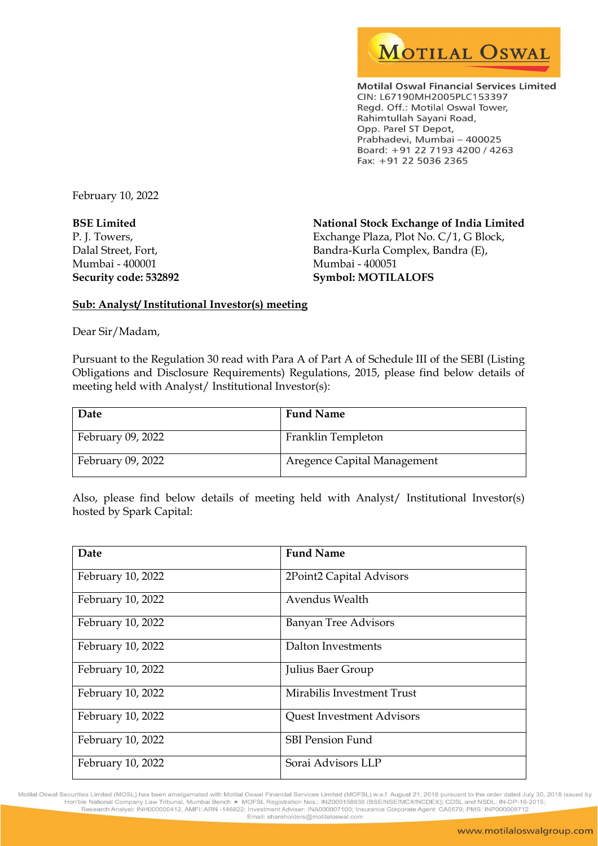

**Motilal Oswal Financial Services Limited** CIN: L67190MH2005PLC153397 Regd. Off.: Motilal Oswal Tower, Rahimtullah Sayani Road, Opp. Parel ST Depot, Prabhadevi, Mumbai - 400025 Board: +91 22 7193 4200 / 4263 Fax: +91 22 5036 2365

February 10, 2022

BSE Limited P. J. Towers, Dalal Street, Fort, Mumbai - 400001 Security code: 532892 National Stock Exchange of India Limited Exchange Plaza, Plot No. C/1, G Block, Bandra-Kurla Complex, Bandra (E), Mumbai - 400051 Symbol: MOTILALOFS

## Sub: Analyst/ Institutional Investor(s) meeting

Dear Sir/Madam,

Pursuant to the Regulation 30 read with Para A of Part A of Schedule III of the SEBI (Listing Obligations and Disclosure Requirements) Regulations, 2015, please find below details of meeting held with Analyst/ Institutional Investor(s):

| Date              | <b>Fund Name</b>            |
|-------------------|-----------------------------|
| February 09, 2022 | Franklin Templeton          |
| February 09, 2022 | Aregence Capital Management |

Also, please find below details of meeting held with Analyst/ Institutional Investor(s) hosted by Spark Capital:

| Date              | <b>Fund Name</b>                 |
|-------------------|----------------------------------|
| February 10, 2022 | 2Point2 Capital Advisors         |
| February 10, 2022 | Avendus Wealth                   |
| February 10, 2022 | <b>Banyan Tree Advisors</b>      |
| February 10, 2022 | Dalton Investments               |
| February 10, 2022 | Julius Baer Group                |
| February 10, 2022 | Mirabilis Investment Trust       |
| February 10, 2022 | <b>Quest Investment Advisors</b> |
| February 10, 2022 | <b>SBI Pension Fund</b>          |
| February 10, 2022 | Sorai Advisors LLP               |

Motilal Oswal Securities Limited (MOSL) has been amalgamated with Motilal Oswal Financial Services Limited (MOFSL) w.e.f. August 21, 2018 pursuant to the order dated July 30, 2018 issued by<br>Hon'ble National Company Law Tri Research Analyst: INH000000412. AMFI: ARN -146822; Investment Adviser: INA000007100; Insurance Corporate Agent: CA0579; PMS: INP000006712 Email: shareholders@motilaloswal.com